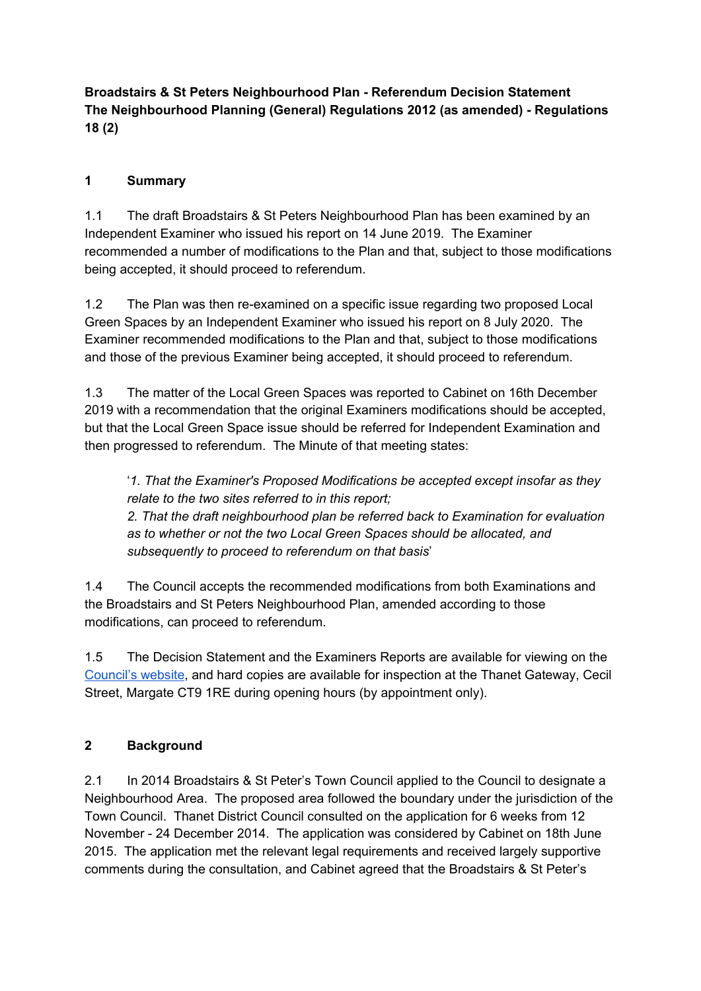**Broadstairs & St Peters Neighbourhood Plan - Referendum Decision Statement The Neighbourhood Planning (General) Regulations 2012 (as amended) - Regulations 18 (2)**

#### **1 Summary**

1.1 The draft Broadstairs & St Peters Neighbourhood Plan has been examined by an Independent Examiner who issued his report on 14 June 2019. The Examiner recommended a number of modifications to the Plan and that, subject to those modifications being accepted, it should proceed to referendum.

1.2 The Plan was then re-examined on a specific issue regarding two proposed Local Green Spaces by an Independent Examiner who issued his report on 8 July 2020. The Examiner recommended modifications to the Plan and that, subject to those modifications and those of the previous Examiner being accepted, it should proceed to referendum.

1.3 The matter of the Local Green Spaces was reported to Cabinet on 16th December 2019 with a recommendation that the original Examiners modifications should be accepted, but that the Local Green Space issue should be referred for Independent Examination and then progressed to referendum. The Minute of that meeting states:

'*1. That the Examiner's Proposed Modifications be accepted except insofar as they relate to the two sites referred to in this report;*

*2. That the draft neighbourhood plan be referred back to Examination for evaluation as to whether or not the two Local Green Spaces should be allocated, and subsequently to proceed to referendum on that basis*'

1.4 The Council accepts the recommended modifications from both Examinations and the Broadstairs and St Peters Neighbourhood Plan, amended according to those modifications, can proceed to referendum.

1.5 The Decision Statement and the Examiners Reports are available for viewing on the [Council's](https://www.thanet.gov.uk/info-pages/broadstairs-and-st-peters-neighbourhood-development-plan/) website, and hard copies are available for inspection at the Thanet Gateway, Cecil Street, Margate CT9 1RE during opening hours (by appointment only).

#### **2 Background**

2.1 In 2014 Broadstairs & St Peter's Town Council applied to the Council to designate a Neighbourhood Area. The proposed area followed the boundary under the jurisdiction of the Town Council. Thanet District Council consulted on the application for 6 weeks from 12 November - 24 December 2014. The application was considered by Cabinet on 18th June 2015. The application met the relevant legal requirements and received largely supportive comments during the consultation, and Cabinet agreed that the Broadstairs & St Peter's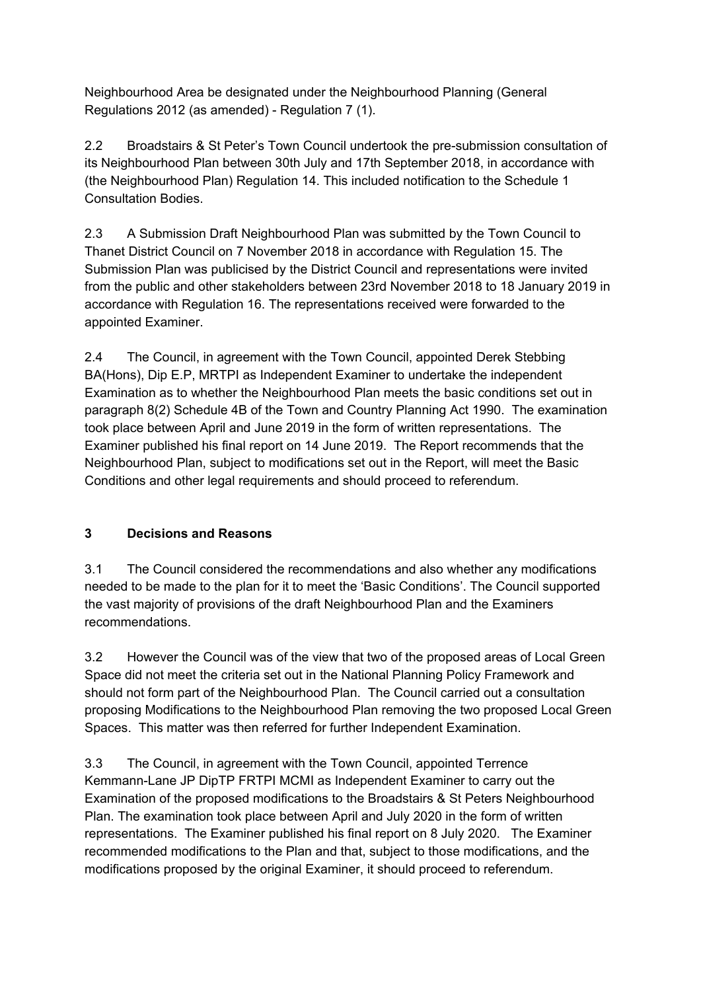Neighbourhood Area be designated under the Neighbourhood Planning (General Regulations 2012 (as amended) - Regulation 7 (1).

2.2 Broadstairs & St Peter's Town Council undertook the pre-submission consultation of its Neighbourhood Plan between 30th July and 17th September 2018, in accordance with (the Neighbourhood Plan) Regulation 14. This included notification to the Schedule 1 Consultation Bodies.

2.3 A Submission Draft Neighbourhood Plan was submitted by the Town Council to Thanet District Council on 7 November 2018 in accordance with Regulation 15. The Submission Plan was publicised by the District Council and representations were invited from the public and other stakeholders between 23rd November 2018 to 18 January 2019 in accordance with Regulation 16. The representations received were forwarded to the appointed Examiner.

2.4 The Council, in agreement with the Town Council, appointed Derek Stebbing BA(Hons), Dip E.P, MRTPI as Independent Examiner to undertake the independent Examination as to whether the Neighbourhood Plan meets the basic conditions set out in paragraph 8(2) Schedule 4B of the Town and Country Planning Act 1990. The examination took place between April and June 2019 in the form of written representations. The Examiner published his final report on 14 June 2019. The Report recommends that the Neighbourhood Plan, subject to modifications set out in the Report, will meet the Basic Conditions and other legal requirements and should proceed to referendum.

# **3 Decisions and Reasons**

3.1 The Council considered the recommendations and also whether any modifications needed to be made to the plan for it to meet the 'Basic Conditions'. The Council supported the vast majority of provisions of the draft Neighbourhood Plan and the Examiners recommendations.

3.2 However the Council was of the view that two of the proposed areas of Local Green Space did not meet the criteria set out in the National Planning Policy Framework and should not form part of the Neighbourhood Plan. The Council carried out a consultation proposing Modifications to the Neighbourhood Plan removing the two proposed Local Green Spaces. This matter was then referred for further Independent Examination.

3.3 The Council, in agreement with the Town Council, appointed Terrence Kemmann-Lane JP DipTP FRTPI MCMI as Independent Examiner to carry out the Examination of the proposed modifications to the Broadstairs & St Peters Neighbourhood Plan. The examination took place between April and July 2020 in the form of written representations. The Examiner published his final report on 8 July 2020. The Examiner recommended modifications to the Plan and that, subject to those modifications, and the modifications proposed by the original Examiner, it should proceed to referendum.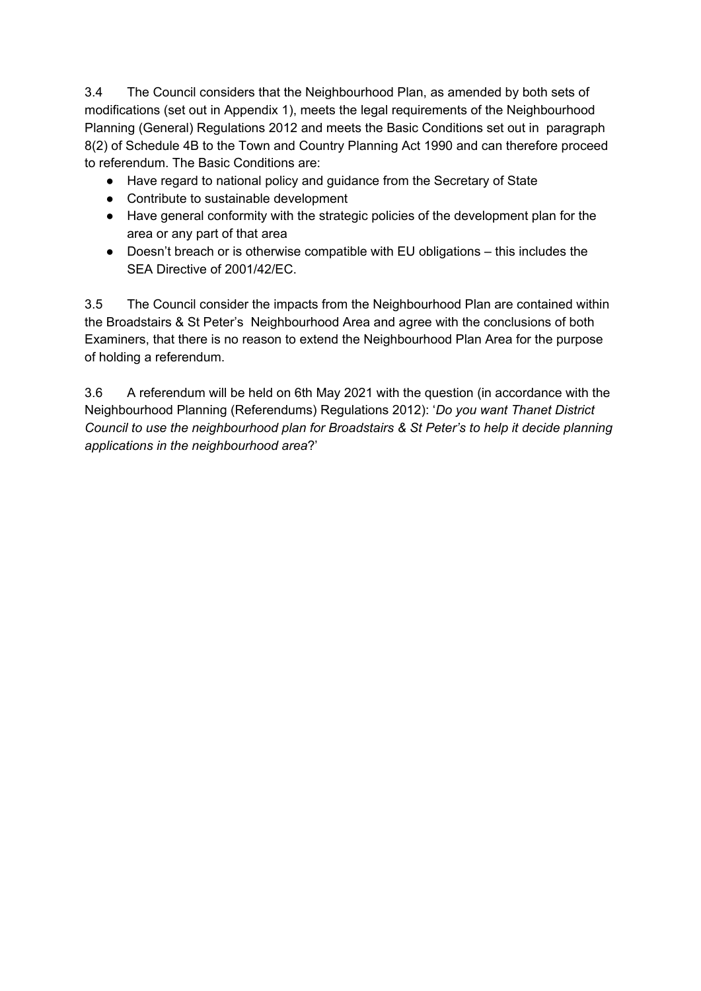3.4 The Council considers that the Neighbourhood Plan, as amended by both sets of modifications (set out in Appendix 1), meets the legal requirements of the Neighbourhood Planning (General) Regulations 2012 and meets the Basic Conditions set out in paragraph 8(2) of Schedule 4B to the Town and Country Planning Act 1990 and can therefore proceed to referendum. The Basic Conditions are:

- Have regard to national policy and guidance from the Secretary of State
- Contribute to sustainable development
- Have general conformity with the strategic policies of the development plan for the area or any part of that area
- Doesn't breach or is otherwise compatible with EU obligations this includes the SEA Directive of 2001/42/EC.

3.5 The Council consider the impacts from the Neighbourhood Plan are contained within the Broadstairs & St Peter's Neighbourhood Area and agree with the conclusions of both Examiners, that there is no reason to extend the Neighbourhood Plan Area for the purpose of holding a referendum.

3.6 A referendum will be held on 6th May 2021 with the question (in accordance with the Neighbourhood Planning (Referendums) Regulations 2012): '*Do you want Thanet District Council to use the neighbourhood plan for Broadstairs & St Peter's to help it decide planning applications in the neighbourhood area*?'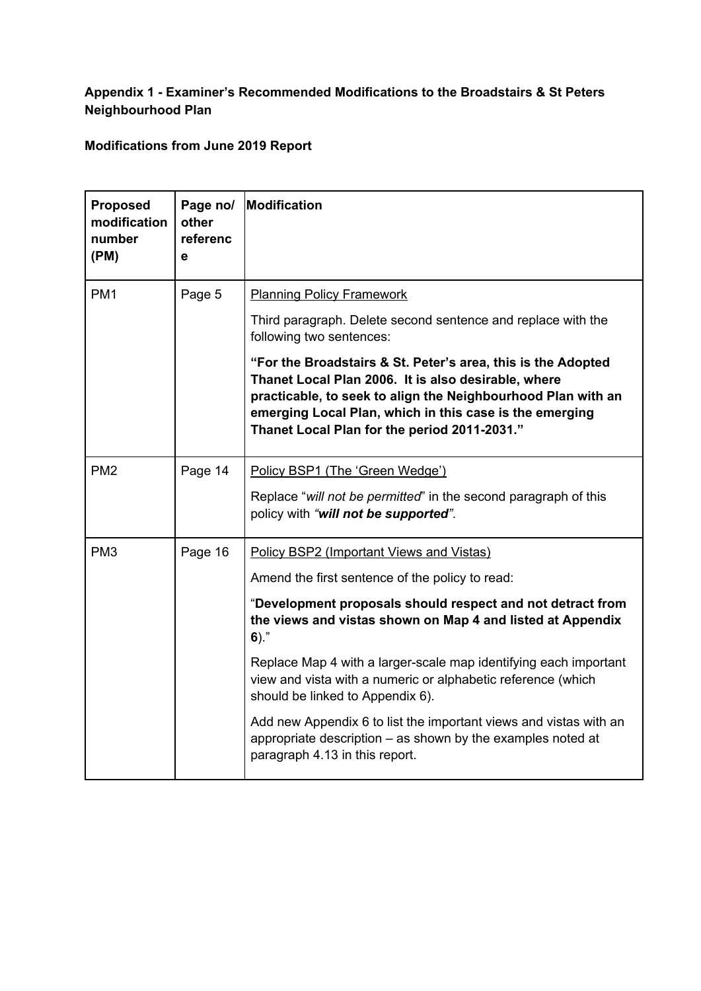## **Appendix 1 - Examiner's Recommended Modifications to the Broadstairs & St Peters Neighbourhood Plan**

**Modifications from June 2019 Report**

| <b>Proposed</b><br>modification<br>number<br>(PM) | Page no/<br>other<br>referenc<br>е | <b>Modification</b>                                                                                                                                                                                                                                                                            |  |
|---------------------------------------------------|------------------------------------|------------------------------------------------------------------------------------------------------------------------------------------------------------------------------------------------------------------------------------------------------------------------------------------------|--|
| PM <sub>1</sub>                                   | Page 5                             | <b>Planning Policy Framework</b>                                                                                                                                                                                                                                                               |  |
|                                                   |                                    | Third paragraph. Delete second sentence and replace with the<br>following two sentences:                                                                                                                                                                                                       |  |
|                                                   |                                    | "For the Broadstairs & St. Peter's area, this is the Adopted<br>Thanet Local Plan 2006. It is also desirable, where<br>practicable, to seek to align the Neighbourhood Plan with an<br>emerging Local Plan, which in this case is the emerging<br>Thanet Local Plan for the period 2011-2031." |  |
| PM <sub>2</sub>                                   | Page 14                            | Policy BSP1 (The 'Green Wedge')                                                                                                                                                                                                                                                                |  |
|                                                   |                                    | Replace "will not be permitted" in the second paragraph of this<br>policy with "will not be supported".                                                                                                                                                                                        |  |
| PM <sub>3</sub>                                   | Page 16                            | Policy BSP2 (Important Views and Vistas)                                                                                                                                                                                                                                                       |  |
|                                                   |                                    | Amend the first sentence of the policy to read:                                                                                                                                                                                                                                                |  |
|                                                   |                                    | "Development proposals should respect and not detract from<br>the views and vistas shown on Map 4 and listed at Appendix<br>$6)$ ."                                                                                                                                                            |  |
|                                                   |                                    | Replace Map 4 with a larger-scale map identifying each important<br>view and vista with a numeric or alphabetic reference (which<br>should be linked to Appendix 6).                                                                                                                           |  |
|                                                   |                                    | Add new Appendix 6 to list the important views and vistas with an<br>appropriate description $-$ as shown by the examples noted at<br>paragraph 4.13 in this report.                                                                                                                           |  |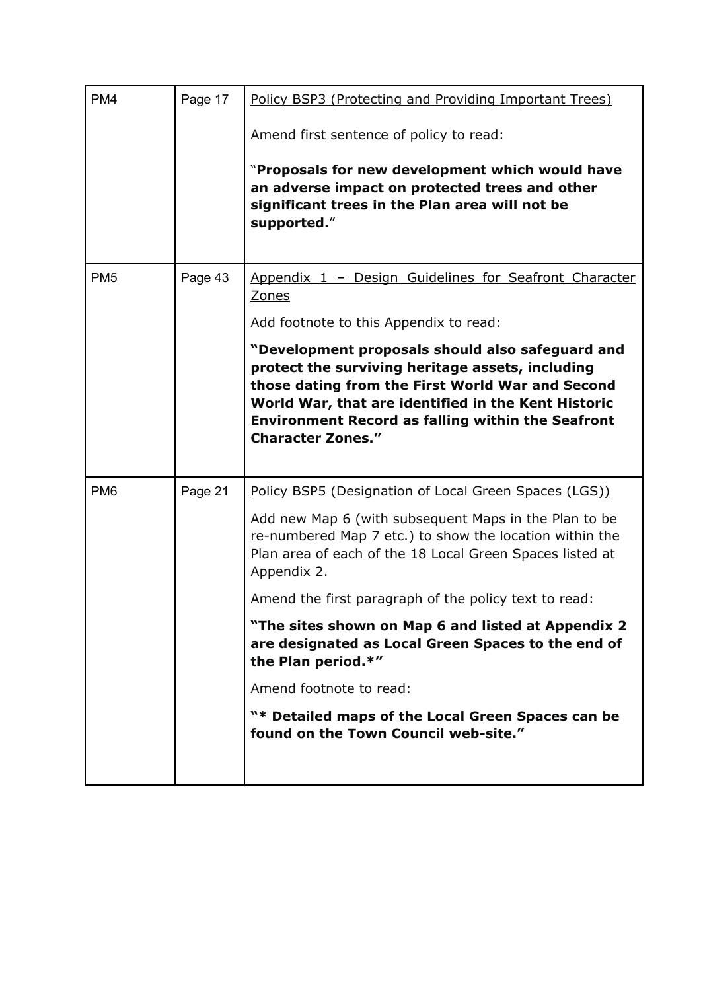| PM <sub>4</sub> | Page 17 | Policy BSP3 (Protecting and Providing Important Trees)                                                                                                                                                                                                                                                  |
|-----------------|---------|---------------------------------------------------------------------------------------------------------------------------------------------------------------------------------------------------------------------------------------------------------------------------------------------------------|
|                 |         | Amend first sentence of policy to read:                                                                                                                                                                                                                                                                 |
|                 |         | "Proposals for new development which would have<br>an adverse impact on protected trees and other<br>significant trees in the Plan area will not be<br>supported."                                                                                                                                      |
| PM <sub>5</sub> | Page 43 | Appendix 1 - Design Guidelines for Seafront Character<br><b>Zones</b>                                                                                                                                                                                                                                   |
|                 |         | Add footnote to this Appendix to read:                                                                                                                                                                                                                                                                  |
|                 |         | "Development proposals should also safeguard and<br>protect the surviving heritage assets, including<br>those dating from the First World War and Second<br>World War, that are identified in the Kent Historic<br><b>Environment Record as falling within the Seafront</b><br><b>Character Zones."</b> |
| PM <sub>6</sub> | Page 21 | Policy BSP5 (Designation of Local Green Spaces (LGS))                                                                                                                                                                                                                                                   |
|                 |         | Add new Map 6 (with subsequent Maps in the Plan to be<br>re-numbered Map 7 etc.) to show the location within the<br>Plan area of each of the 18 Local Green Spaces listed at<br>Appendix 2.                                                                                                             |
|                 |         | Amend the first paragraph of the policy text to read:                                                                                                                                                                                                                                                   |
|                 |         | "The sites shown on Map 6 and listed at Appendix 2<br>are designated as Local Green Spaces to the end of<br>the Plan period.*"                                                                                                                                                                          |
|                 |         | Amend footnote to read:                                                                                                                                                                                                                                                                                 |
|                 |         | "* Detailed maps of the Local Green Spaces can be<br>found on the Town Council web-site."                                                                                                                                                                                                               |
|                 |         |                                                                                                                                                                                                                                                                                                         |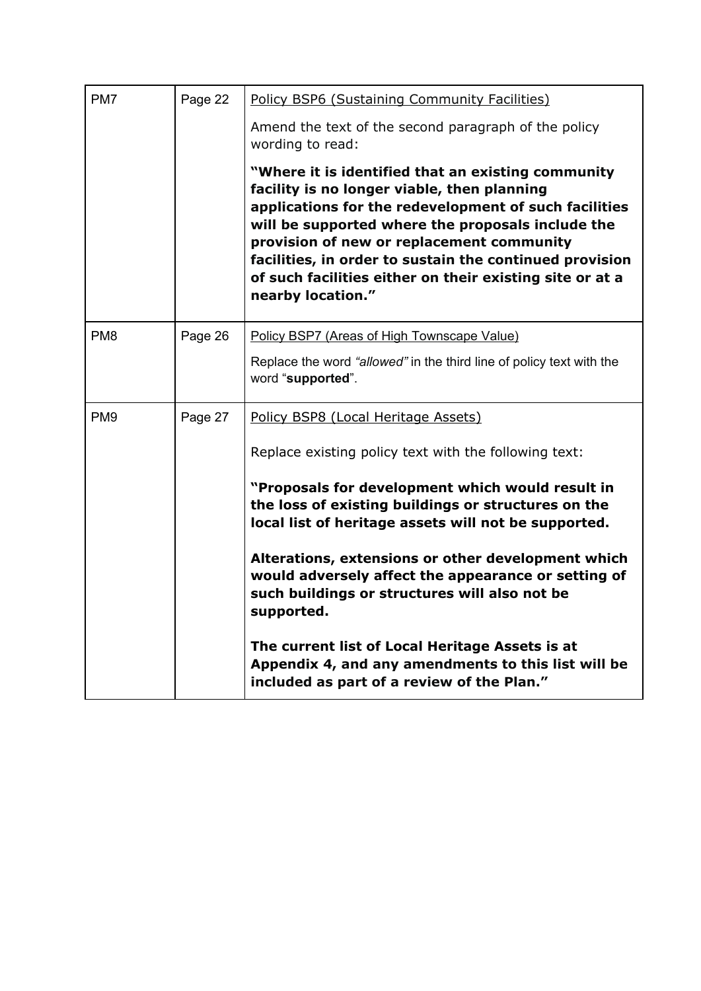| PM7             | Page 22 | Policy BSP6 (Sustaining Community Facilities)                                                                                                                                                                                                                                                                                                                                                             |  |
|-----------------|---------|-----------------------------------------------------------------------------------------------------------------------------------------------------------------------------------------------------------------------------------------------------------------------------------------------------------------------------------------------------------------------------------------------------------|--|
|                 |         | Amend the text of the second paragraph of the policy<br>wording to read:                                                                                                                                                                                                                                                                                                                                  |  |
|                 |         | "Where it is identified that an existing community"<br>facility is no longer viable, then planning<br>applications for the redevelopment of such facilities<br>will be supported where the proposals include the<br>provision of new or replacement community<br>facilities, in order to sustain the continued provision<br>of such facilities either on their existing site or at a<br>nearby location." |  |
| PM <sub>8</sub> | Page 26 | Policy BSP7 (Areas of High Townscape Value)                                                                                                                                                                                                                                                                                                                                                               |  |
|                 |         | Replace the word "allowed" in the third line of policy text with the<br>word "supported".                                                                                                                                                                                                                                                                                                                 |  |
| PM <sub>9</sub> | Page 27 | Policy BSP8 (Local Heritage Assets)                                                                                                                                                                                                                                                                                                                                                                       |  |
|                 |         | Replace existing policy text with the following text:                                                                                                                                                                                                                                                                                                                                                     |  |
|                 |         | "Proposals for development which would result in<br>the loss of existing buildings or structures on the<br>local list of heritage assets will not be supported.                                                                                                                                                                                                                                           |  |
|                 |         | Alterations, extensions or other development which<br>would adversely affect the appearance or setting of<br>such buildings or structures will also not be<br>supported.                                                                                                                                                                                                                                  |  |
|                 |         | The current list of Local Heritage Assets is at<br>Appendix 4, and any amendments to this list will be<br>included as part of a review of the Plan."                                                                                                                                                                                                                                                      |  |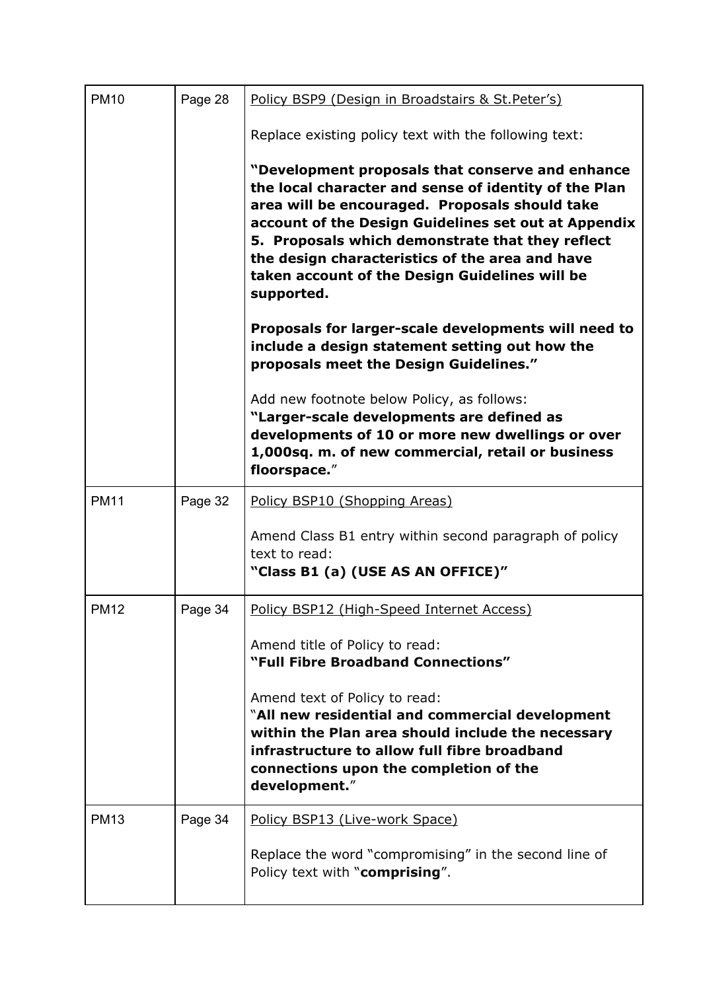| <b>PM10</b><br>Page 28 |         | Policy BSP9 (Design in Broadstairs & St. Peter's)                                                                                                                                                                                                                                                                                                                                          |  |  |  |  |
|------------------------|---------|--------------------------------------------------------------------------------------------------------------------------------------------------------------------------------------------------------------------------------------------------------------------------------------------------------------------------------------------------------------------------------------------|--|--|--|--|
|                        |         | Replace existing policy text with the following text:                                                                                                                                                                                                                                                                                                                                      |  |  |  |  |
|                        |         | "Development proposals that conserve and enhance<br>the local character and sense of identity of the Plan<br>area will be encouraged. Proposals should take<br>account of the Design Guidelines set out at Appendix<br>5. Proposals which demonstrate that they reflect<br>the design characteristics of the area and have<br>taken account of the Design Guidelines will be<br>supported. |  |  |  |  |
|                        |         | Proposals for larger-scale developments will need to<br>include a design statement setting out how the<br>proposals meet the Design Guidelines."                                                                                                                                                                                                                                           |  |  |  |  |
|                        |         | Add new footnote below Policy, as follows:<br>"Larger-scale developments are defined as<br>developments of 10 or more new dwellings or over<br>1,000sq. m. of new commercial, retail or business<br>floorspace."                                                                                                                                                                           |  |  |  |  |
| <b>PM11</b>            | Page 32 | Policy BSP10 (Shopping Areas)                                                                                                                                                                                                                                                                                                                                                              |  |  |  |  |
|                        |         | Amend Class B1 entry within second paragraph of policy<br>text to read:<br>"Class B1 (a) (USE AS AN OFFICE)"                                                                                                                                                                                                                                                                               |  |  |  |  |
| <b>PM12</b>            | Page 34 | Policy BSP12 (High-Speed Internet Access)                                                                                                                                                                                                                                                                                                                                                  |  |  |  |  |
|                        |         | Amend title of Policy to read:<br>"Full Fibre Broadband Connections"                                                                                                                                                                                                                                                                                                                       |  |  |  |  |
|                        |         | Amend text of Policy to read:<br>"All new residential and commercial development<br>within the Plan area should include the necessary<br>infrastructure to allow full fibre broadband<br>connections upon the completion of the<br>development."                                                                                                                                           |  |  |  |  |
| <b>PM13</b>            | Page 34 | Policy BSP13 (Live-work Space)                                                                                                                                                                                                                                                                                                                                                             |  |  |  |  |
|                        |         | Replace the word "compromising" in the second line of<br>Policy text with "comprising".                                                                                                                                                                                                                                                                                                    |  |  |  |  |